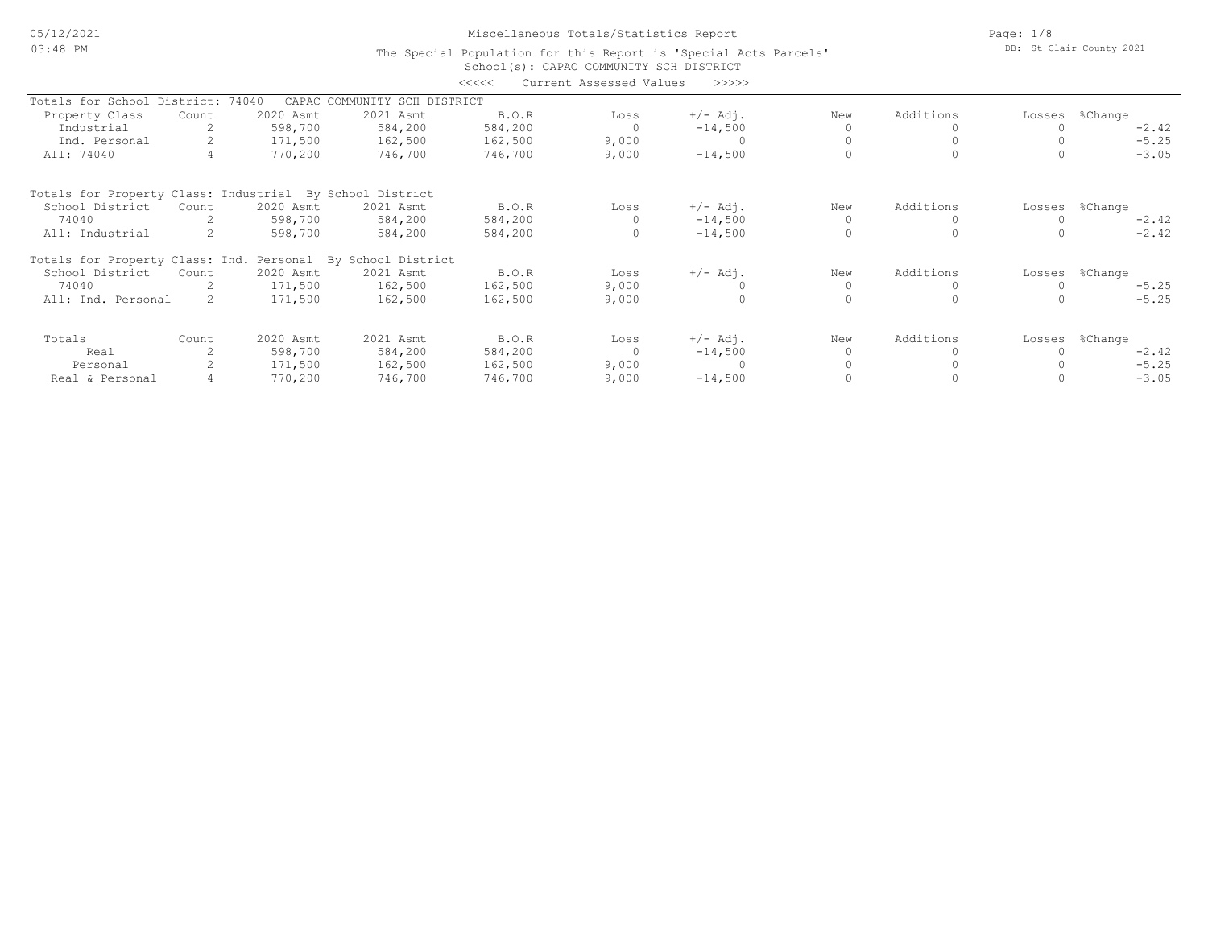05/12/2021 03:48 PM

# Miscellaneous Totals/Statistics Report

Page: 1/8 DB: St Clair County 2021

#### School(s): CAPAC COMMUNITY SCH DISTRICT The Special Population for this Report is 'Special Acts Parcels' <<<<< Current Assessed Values >>>>>

| Totals for School District:                                 |       | 74040<br>CAPAC | COMMUNITY SCH DISTRICT |         |                |            |           |           |        |                |
|-------------------------------------------------------------|-------|----------------|------------------------|---------|----------------|------------|-----------|-----------|--------|----------------|
| Property Class                                              | Count | 2020 Asmt      | 2021 Asmt              | B.O.R   | Loss           | $+/-$ Adj. | New       | Additions |        | Losses %Change |
| Industrial                                                  |       | 598,700        | 584,200                | 584,200 | $\overline{0}$ | $-14,500$  | $\Omega$  |           |        | $-2.42$        |
| Ind. Personal                                               |       | 171,500        | 162,500                | 162,500 | 9,000          | $\Omega$   |           |           |        | $-5.25$        |
| All: 74040                                                  |       | 770,200        | 746,700                | 746,700 | 9,000          | $-14,500$  |           | $\Omega$  |        | $-3.05$        |
| Totals for Property Class: Industrial By School District    |       |                |                        |         |                |            |           |           |        |                |
| School District                                             | Count | 2020 Asmt      | 2021 Asmt              | B.O.R   | Loss           | $+/-$ Adj. | New       | Additions | Losses | %Change        |
| 74040                                                       |       | 598,700        | 584,200                | 584,200 |                | $-14,500$  | $\Omega$  |           |        | $-2.42$        |
| All: Industrial                                             |       | 598,700        | 584,200                | 584,200 |                | $-14,500$  |           |           |        | $-2.42$        |
| Totals for Property Class: Ind. Personal By School District |       |                |                        |         |                |            |           |           |        |                |
| School District                                             | Count | 2020 Asmt      | 2021 Asmt              | B.O.R   | Loss           | $+/-$ Adj. | New       | Additions | Losses | %Change        |
| 74040                                                       |       | 171,500        | 162,500                | 162,500 | 9,000          |            | $\bigcap$ | 0         |        | $-5.25$        |
| All: Ind. Personal                                          |       | 171,500        | 162,500                | 162,500 | 9,000          |            |           | $\Omega$  |        | $-5.25$        |
| Totals                                                      | Count | 2020 Asmt      | 2021 Asmt              | B.O.R   | Loss           | $+/-$ Adj. | New       | Additions | Losses | %Change        |
| Real                                                        |       | 598,700        | 584,200                | 584,200 | $\Omega$       | $-14,500$  | $\Omega$  |           |        | $-2.42$        |
| Personal                                                    |       | 171,500        | 162,500                | 162,500 | 9,000          | $\Omega$   |           |           |        | $-5.25$        |
| Real & Personal                                             |       | 770,200        | 746,700                | 746,700 | 9,000          | $-14,500$  |           |           |        | $-3.05$        |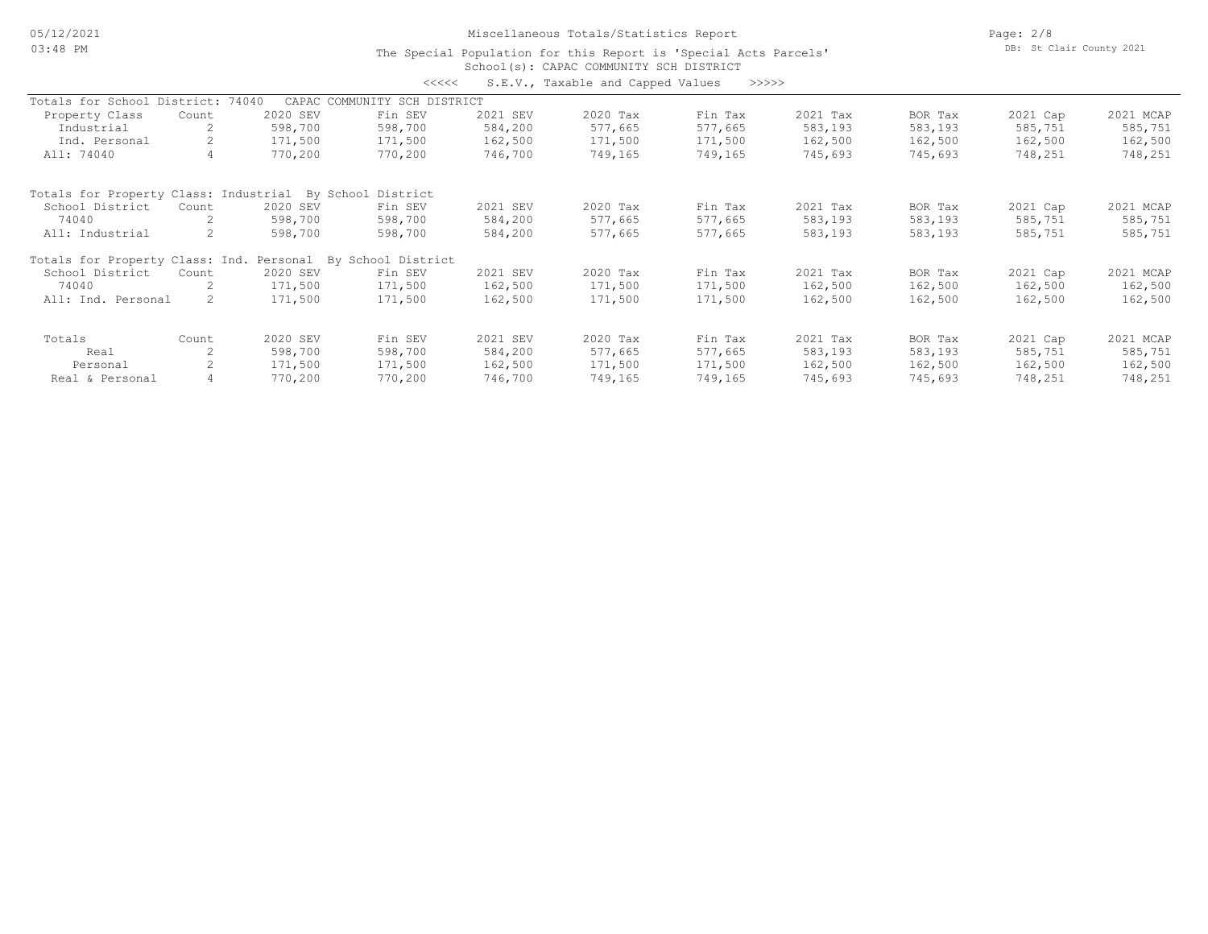05/12/2021 03:48 PM

### Miscellaneous Totals/Statistics Report

Page: 2/8 DB: St Clair County 2021

#### School(s): CAPAC COMMUNITY SCH DISTRICT The Special Population for this Report is 'Special Acts Parcels'

|                                       |       |          | <<<<                         |          | S.E.V., Taxable and Capped Values | >>>>>   |          |         |          |           |
|---------------------------------------|-------|----------|------------------------------|----------|-----------------------------------|---------|----------|---------|----------|-----------|
| Totals for School District: 74040     |       |          | CAPAC COMMUNITY SCH DISTRICT |          |                                   |         |          |         |          |           |
| Property Class                        | Count | 2020 SEV | Fin SEV                      | 2021 SEV | 2020 Tax                          | Fin Tax | 2021 Tax | BOR Tax | 2021 Cap | 2021 MCAP |
| Industrial                            |       | 598,700  | 598,700                      | 584,200  | 577,665                           | 577,665 | 583,193  | 583,193 | 585,751  | 585,751   |
| Ind. Personal                         |       | 171,500  | 171,500                      | 162,500  | 171,500                           | 171,500 | 162,500  | 162,500 | 162,500  | 162,500   |
| All: 74040                            |       | 770,200  | 770,200                      | 746,700  | 749,165                           | 749,165 | 745,693  | 745,693 | 748,251  | 748,251   |
| Totals for Property Class: Industrial |       |          | By School District           |          |                                   |         |          |         |          |           |
| School District                       | Count | 2020 SEV | Fin SEV                      | 2021 SEV | 2020 Tax                          | Fin Tax | 2021 Tax | BOR Tax | 2021 Cap | 2021 MCAP |
| 74040                                 |       | 598,700  | 598,700                      | 584,200  | 577,665                           | 577,665 | 583,193  | 583,193 | 585,751  | 585,751   |
| All: Industrial                       |       | 598,700  | 598,700                      | 584,200  | 577,665                           | 577,665 | 583,193  | 583,193 | 585,751  | 585,751   |
| Totals for Property Class: Ind.       |       |          | Personal By School District  |          |                                   |         |          |         |          |           |
| School District                       | Count | 2020 SEV | Fin SEV                      | 2021 SEV | 2020 Tax                          | Fin Tax | 2021 Tax | BOR Tax | 2021 Cap | 2021 MCAP |
| 74040                                 |       | 171,500  | 171,500                      | 162,500  | 171,500                           | 171,500 | 162,500  | 162,500 | 162,500  | 162,500   |
| All: Ind. Personal                    |       | 171,500  | 171,500                      | 162,500  | 171,500                           | 171,500 | 162,500  | 162,500 | 162,500  | 162,500   |
| Totals                                | Count | 2020 SEV | Fin SEV                      | 2021 SEV | 2020 Tax                          | Fin Tax | 2021 Tax | BOR Tax | 2021 Cap | 2021 MCAP |
| Real                                  |       | 598,700  | 598,700                      | 584,200  | 577,665                           | 577,665 | 583,193  | 583,193 | 585,751  | 585,751   |
| Personal                              |       | 171,500  | 171,500                      | 162,500  | 171,500                           | 171,500 | 162,500  | 162,500 | 162,500  | 162,500   |
| Real & Personal                       |       | 770,200  | 770,200                      | 746,700  | 749,165                           | 749,165 | 745,693  | 745,693 | 748,251  | 748,251   |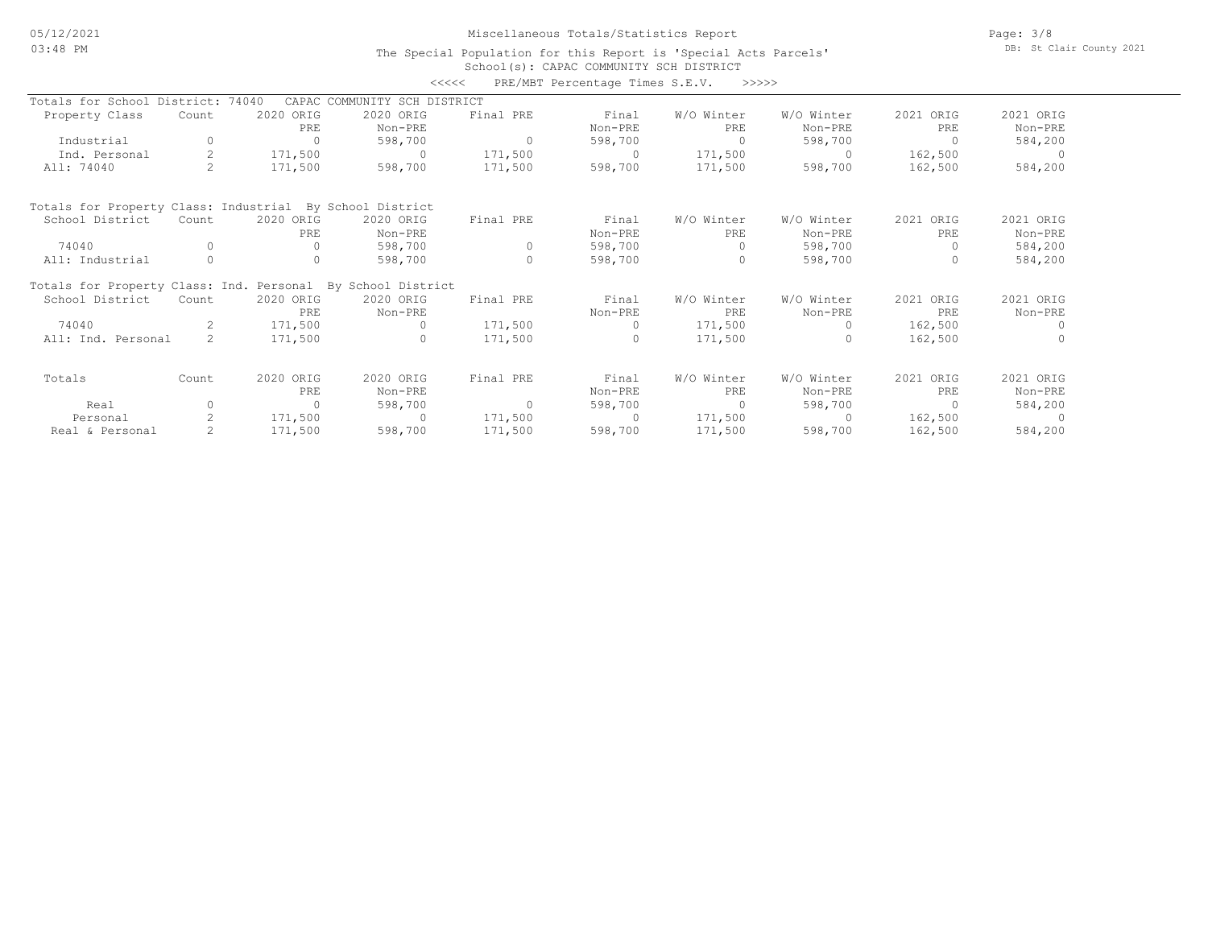### Miscellaneous Totals/Statistics Report

Page: 3/8 DB: St Clair County 2021

#### School(s): CAPAC COMMUNITY SCH DISTRICT The Special Population for this Report is 'Special Acts Parcels'

|                                                          |                                                             |           |                              | <<<<      | PRE/MBT Percentage Times S.E.V. | >>>>>      |            |                |                |
|----------------------------------------------------------|-------------------------------------------------------------|-----------|------------------------------|-----------|---------------------------------|------------|------------|----------------|----------------|
| Totals for School District: 74040                        |                                                             |           | CAPAC COMMUNITY SCH DISTRICT |           |                                 |            |            |                |                |
| Property Class                                           | Count                                                       | 2020 ORIG | 2020 ORIG                    | Final PRE | Final                           | W/O Winter | W/O Winter | 2021 ORIG      | 2021 ORIG      |
|                                                          |                                                             | PRE       | Non-PRE                      |           | Non-PRE                         | PRE        | Non-PRE    | PRE            | Non-PRE        |
| Industrial                                               | $\Omega$                                                    | $\Omega$  | 598,700                      | $\Omega$  | 598,700                         | $\Omega$   | 598,700    | $\Omega$       | 584,200        |
| Ind. Personal                                            | $\overline{2}$                                              | 171,500   | $\Omega$                     | 171,500   | $\Omega$                        | 171,500    | $\bigcirc$ | 162,500        | $\overline{a}$ |
| All: 74040                                               |                                                             | 171,500   | 598,700                      | 171,500   | 598,700                         | 171,500    | 598,700    | 162,500        | 584,200        |
| Totals for Property Class: Industrial By School District |                                                             |           |                              |           |                                 |            |            |                |                |
| School District                                          | Count                                                       | 2020 ORIG | 2020 ORIG                    | Final PRE | Final                           | W/O Winter | W/O Winter | 2021 ORIG      | 2021 ORIG      |
|                                                          |                                                             | PRE       | Non-PRE                      |           | Non-PRE                         | PRE        | Non-PRE    | PRE            | Non-PRE        |
| 74040                                                    | $\Omega$                                                    | $\Omega$  | 598,700                      | $\Omega$  | 598,700                         | $\Omega$   | 598,700    | $\Omega$       | 584,200        |
| All: Industrial                                          |                                                             | 0         | 598,700                      | $\Omega$  | 598,700                         | 0          | 598,700    | $\Omega$       | 584,200        |
|                                                          | Totals for Property Class: Ind. Personal By School District |           |                              |           |                                 |            |            |                |                |
| School District                                          | Count                                                       | 2020 ORIG | 2020 ORIG                    | Final PRE | Final                           | W/O Winter | W/O Winter | 2021 ORIG      | 2021 ORIG      |
|                                                          |                                                             | PRE       | Non-PRE                      |           | Non-PRE                         | PRE        | Non-PRE    | PRE            | Non-PRE        |
| 74040                                                    |                                                             | 171,500   | $\Omega$                     | 171,500   | $\Omega$                        | 171,500    |            | 162,500        | $\Omega$       |
| All: Ind. Personal                                       | $2^{\circ}$                                                 | 171,500   | $\Omega$                     | 171,500   | $\cap$                          | 171,500    |            | 162,500        |                |
| Totals                                                   | Count                                                       | 2020 ORIG | 2020 ORIG                    | Final PRE | Final                           | W/O Winter | W/O Winter | 2021 ORIG      | 2021 ORIG      |
|                                                          |                                                             | PRE       | Non-PRE                      |           | Non-PRE                         | PRE        | Non-PRE    | PRE            | Non-PRE        |
| Real                                                     | $\Omega$                                                    | $\circ$   | 598,700                      | $\Omega$  | 598,700                         | $\circ$    | 598,700    | $\overline{0}$ | 584,200        |
| Personal                                                 |                                                             | 171,500   | $\Omega$                     | 171,500   | $\Omega$                        | 171,500    | $\cap$     | 162,500        | $\cap$         |
| Real & Personal                                          |                                                             | 171,500   | 598,700                      | 171,500   | 598,700                         | 171,500    | 598,700    | 162,500        | 584,200        |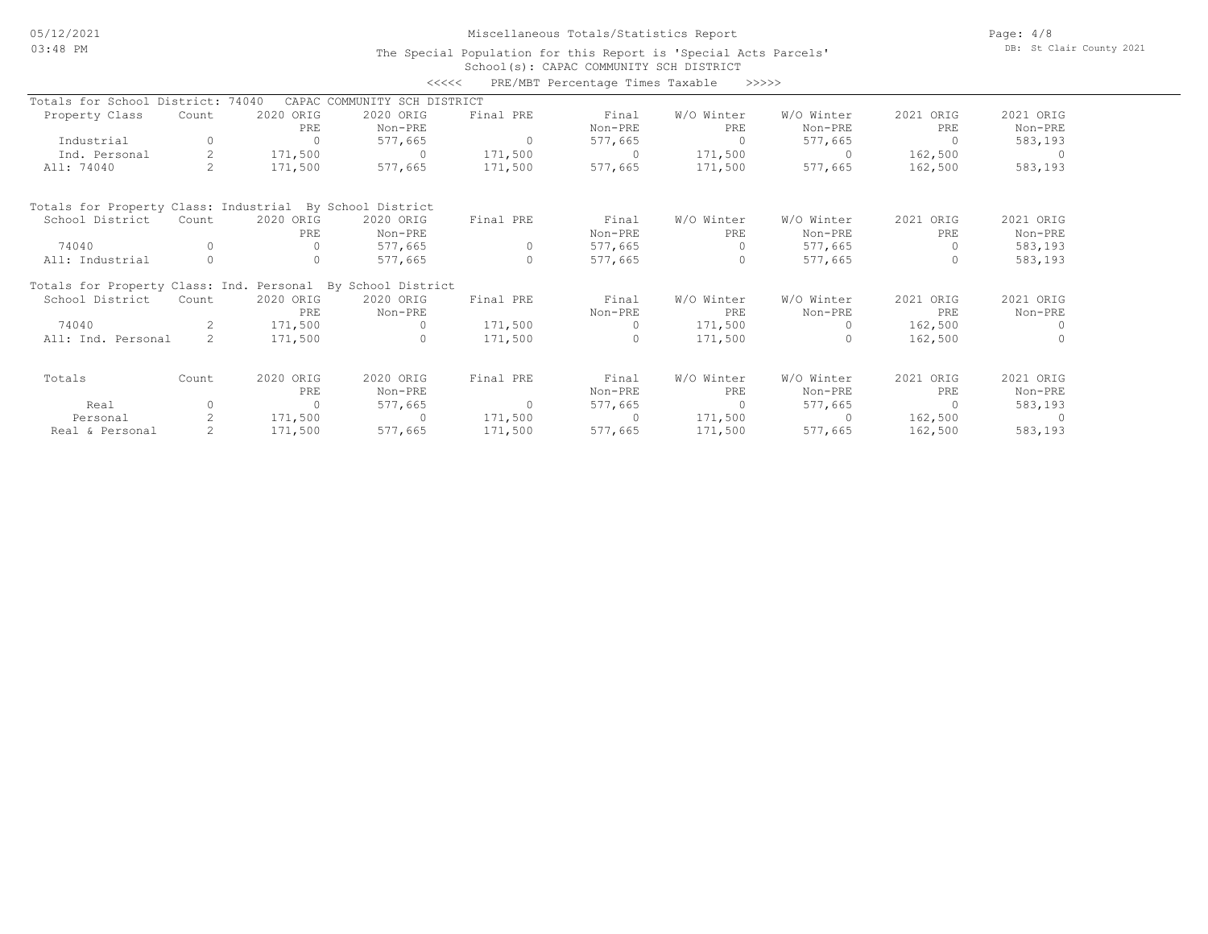### Miscellaneous Totals/Statistics Report

Page: 4/8 DB: St Clair County 2021

### School(s): CAPAC COMMUNITY SCH DISTRICT The Special Population for this Report is 'Special Acts Parcels'

|                                                             |                |              | <<<<                         |           | PRE/MBT Percentage Times Taxable |            | >>>>>      |           |           |
|-------------------------------------------------------------|----------------|--------------|------------------------------|-----------|----------------------------------|------------|------------|-----------|-----------|
| Totals for School District: 74040                           |                |              | CAPAC COMMUNITY SCH DISTRICT |           |                                  |            |            |           |           |
| Property Class                                              | Count          | 2020 ORIG    | 2020 ORIG                    | Final PRE | Final                            | W/O Winter | W/O Winter | 2021 ORIG | 2021 ORIG |
|                                                             |                | PRE          | Non-PRE                      |           | Non-PRE                          | PRE        | Non-PRE    | PRE       | Non-PRE   |
| Industrial                                                  | 0              | $\Omega$     | 577,665                      | $\Omega$  | 577,665                          | $\Omega$   | 577,665    | $\Omega$  | 583,193   |
| Ind. Personal                                               | $\overline{2}$ | 171,500      | $\Omega$                     | 171,500   | $\Omega$                         | 171,500    | $\Omega$   | 162,500   |           |
| All: 74040                                                  |                | 171,500      | 577,665                      | 171,500   | 577,665                          | 171,500    | 577,665    | 162,500   | 583,193   |
| Totals for Property Class: Industrial By School District    |                |              |                              |           |                                  |            |            |           |           |
| School District                                             | Count          | 2020 ORIG    | 2020 ORIG                    | Final PRE | Final                            | W/O Winter | W/O Winter | 2021 ORIG | 2021 ORIG |
|                                                             |                | PRE          | Non-PRE                      |           | Non-PRE                          | PRE        | Non-PRE    | PRE       | Non-PRE   |
| 74040                                                       |                | $\Omega$     | 577,665                      | $\Omega$  | 577,665                          |            | 577,665    | $\Omega$  | 583,193   |
| All: Industrial                                             | $\Omega$       | $\Omega$     | 577,665                      | $\Omega$  | 577,665                          | $\Omega$   | 577,665    | $\Omega$  | 583,193   |
| Totals for Property Class: Ind. Personal By School District |                |              |                              |           |                                  |            |            |           |           |
| School District                                             | Count          | 2020 ORIG    | 2020 ORIG                    | Final PRE | Final                            | W/O Winter | W/O Winter | 2021 ORIG | 2021 ORIG |
|                                                             |                | PRE.         | Non-PRE                      |           | Non-PRE                          | PRE        | Non-PRE    | PRE.      | Non-PRE   |
| 74040                                                       | $\mathcal{L}$  | 171,500      | $\Omega$                     | 171,500   | $\Omega$                         | 171,500    | $\Omega$   | 162,500   | $\Omega$  |
| All: Ind. Personal                                          | $\mathcal{P}$  | 171,500      | $\Omega$                     | 171,500   |                                  | 171,500    |            | 162,500   |           |
| Totals                                                      | Count          | 2020 ORIG    | 2020 ORIG                    | Final PRE | Final                            | W/O Winter | W/O Winter | 2021 ORIG | 2021 ORIG |
|                                                             |                | PRE          | Non-PRE                      |           | Non-PRE                          | PRE        | Non-PRE    | PRE       | Non-PRE   |
| Real                                                        | $\Omega$       | $\mathbf{0}$ | 577,665                      | $\circ$   | 577,665                          | $\circ$    | 577,665    | $\Omega$  | 583,193   |
| Personal                                                    |                | 171,500      | $\Omega$                     | 171,500   | $\Omega$                         | 171,500    | $\Omega$   | 162,500   |           |
| Real & Personal                                             |                | 171,500      | 577,665                      | 171,500   | 577,665                          | 171,500    | 577,665    | 162,500   | 583,193   |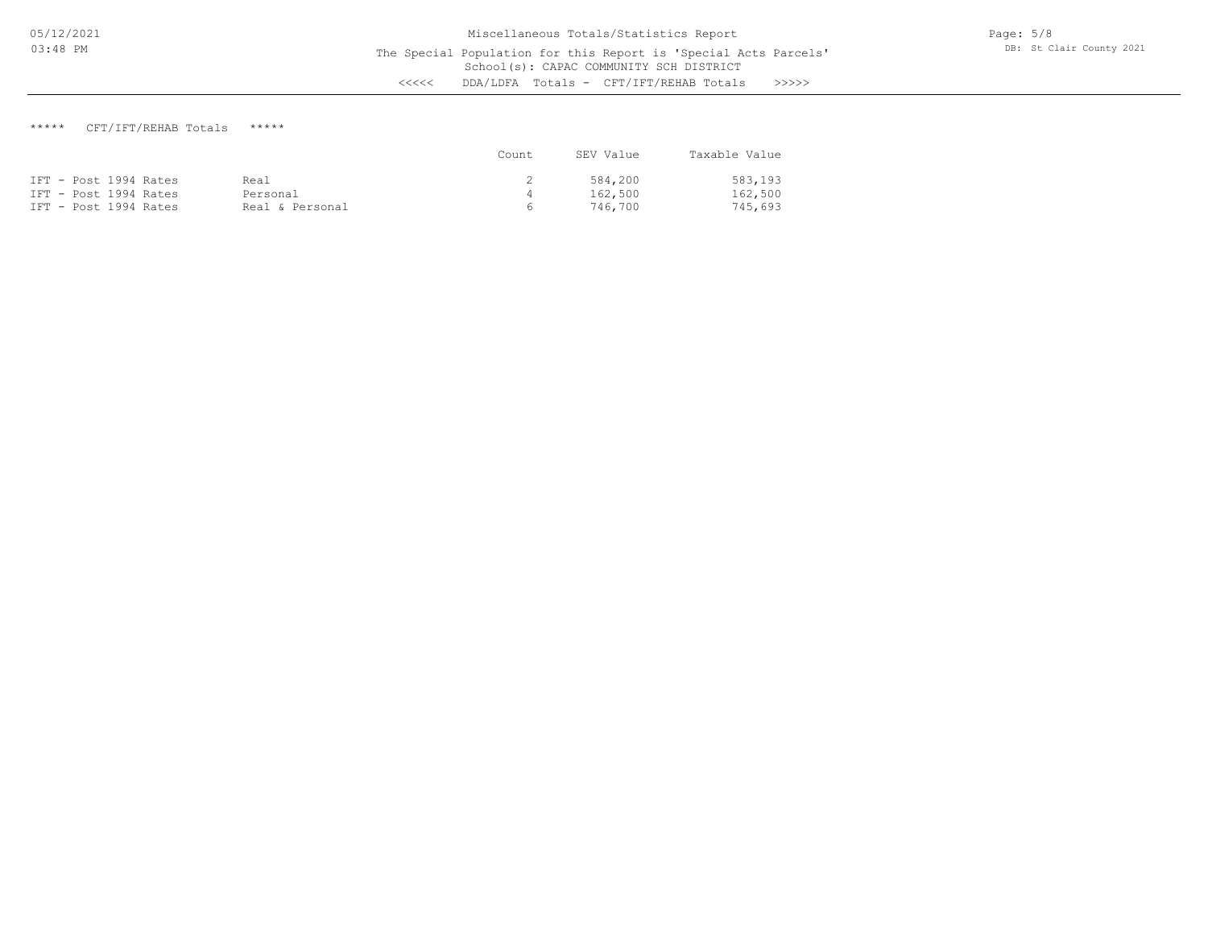## \*\*\*\*\* CFT/IFT/REHAB Totals \*\*\*\*\*

|                       |                 | Count. | SEV Value | Taxable Value |
|-----------------------|-----------------|--------|-----------|---------------|
| IFT - Post 1994 Rates | Real            |        | 584,200   | 583,193       |
| IFT - Post 1994 Rates | Personal        | 4      | 162,500   | 162,500       |
| IFT - Post 1994 Rates | Real & Personal | $\sim$ | 746.700   | 745,693       |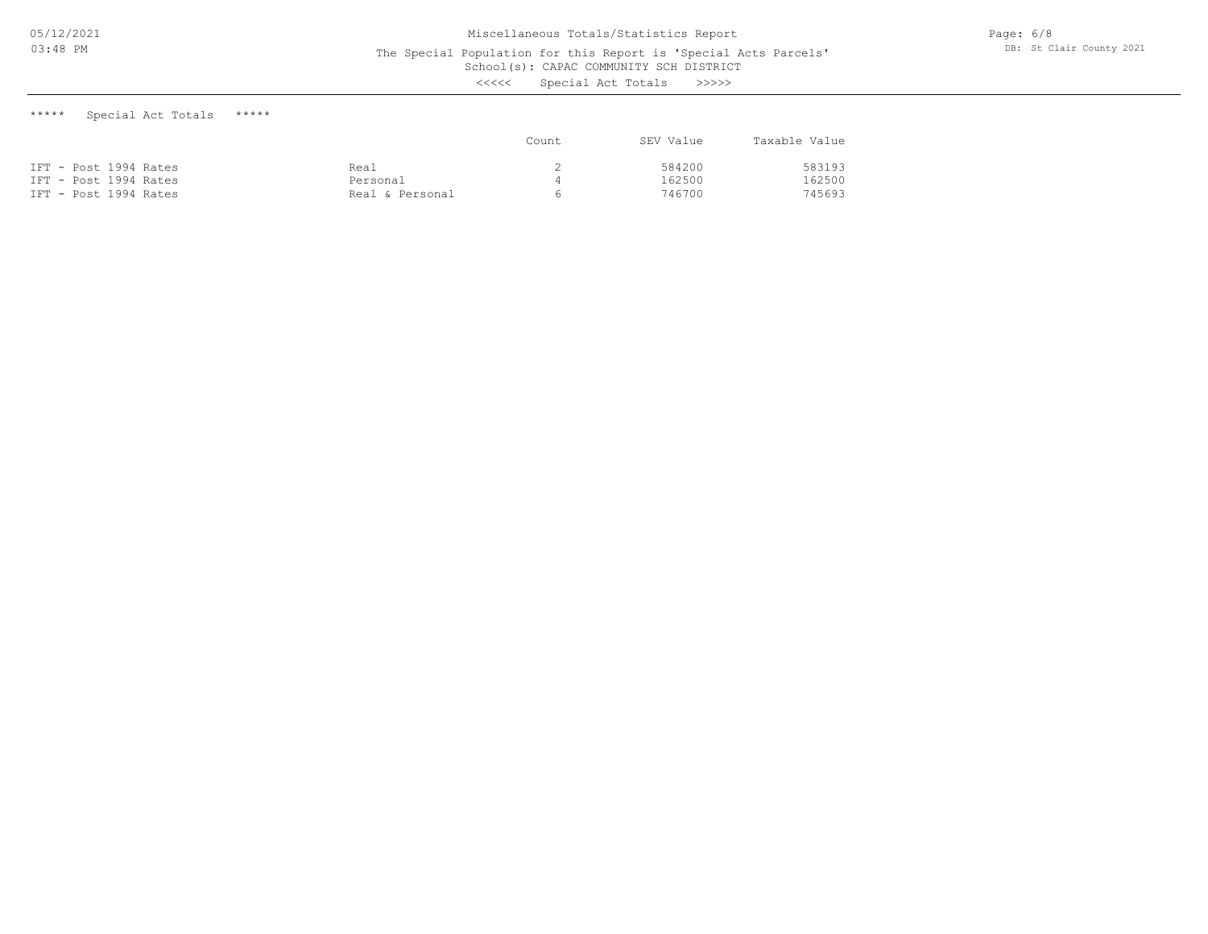The Special Population for this Report is 'Special Acts Parcels'

School(s): CAPAC COMMUNITY SCH DISTRICT

<<<<< Special Act Totals >>>>>

\*\*\*\*\* Special Act Totals \*\*\*\*\*

|                       |                 | Count | SEV Value | Taxable Value |
|-----------------------|-----------------|-------|-----------|---------------|
| IFT - Post 1994 Rates | Real            |       | 584200    | 583193        |
| IFT - Post 1994 Rates | Personal        |       | 162500    | 162500        |
| IFT - Post 1994 Rates | Real & Personal |       | 746700    | 745693        |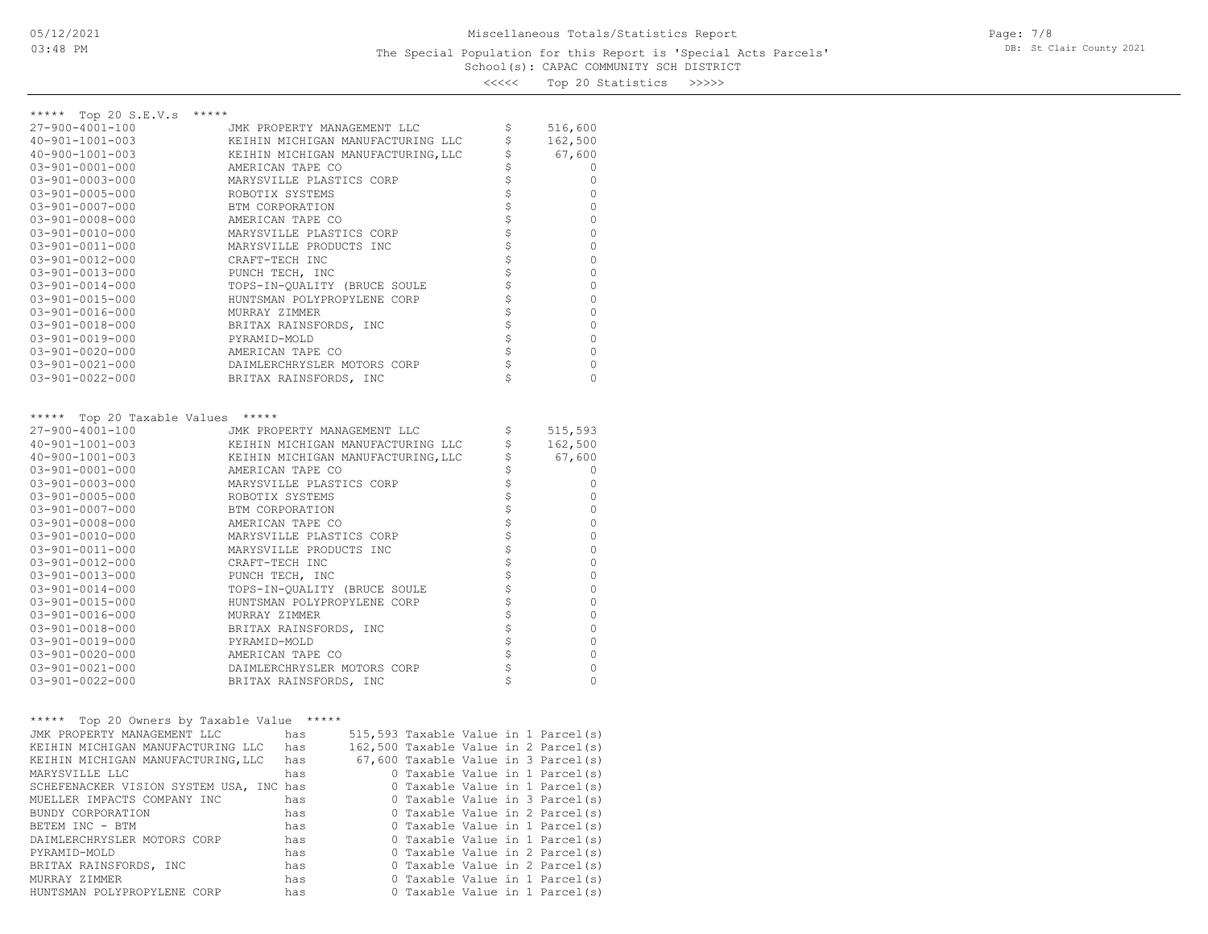# School(s): CAPAC COMMUNITY SCH DISTRICT The Special Population for this Report is 'Special Acts Parcels'

<<<<< Top 20 Statistics >>>>>

| ***** Top 20 S.E.V.s *****                 |                                                 |                                |          |
|--------------------------------------------|-------------------------------------------------|--------------------------------|----------|
| 27-900-4001-100                            | JMK PROPERTY MANAGEMENT LLC                     | \$                             | 516,600  |
| $40 - 901 - 1001 - 003$                    | KEIHIN MICHIGAN MANUFACTURING LLC               | \$                             | 162,500  |
| $40 - 900 - 1001 - 003$                    | KEIHIN MICHIGAN MANUFACTURING, LLC              | \$                             | 67,600   |
| $03 - 901 - 0001 - 000$                    | AMERICAN TAPE CO                                | \$                             | 0        |
| $03 - 901 - 0003 - 000$                    | MARYSVILLE PLASTICS CORP                        | \$                             | 0        |
| $03 - 901 - 0005 - 000$                    | ROBOTIX SYSTEMS                                 | \$                             | $\circ$  |
| $03 - 901 - 0007 - 000$                    | BTM CORPORATION                                 | \$                             | 0        |
| $03 - 901 - 0008 - 000$                    | AMERICAN TAPE CO                                | \$                             | $\circ$  |
| $03 - 901 - 0010 - 000$                    | MARYSVILLE PLASTICS CORP                        | \$                             | $\circ$  |
| 03-901-0011-000                            | MARYSVILLE PRODUCTS INC                         | \$                             | $\circ$  |
| $03 - 901 - 0012 - 000$                    | CRAFT-TECH INC                                  | \$                             | $\circ$  |
| 03-901-0013-000                            | PUNCH TECH, INC                                 | \$                             | $\circ$  |
| $03 - 901 - 0014 - 000$                    | TOPS-IN-QUALITY (BRUCE SOULE                    | \$                             | $\circ$  |
| 03-901-0015-000                            | HUNTSMAN POLYPROPYLENE CORP                     | \$                             | 0        |
| 03-901-0016-000                            | MURRAY ZIMMER                                   | \$                             | 0        |
| 03-901-0018-000                            | BRITAX RAINSFORDS, INC                          | \$                             | $\circ$  |
| 03-901-0019-000                            | PYRAMID-MOLD                                    | \$                             | $\circ$  |
| $03 - 901 - 0020 - 000$                    | AMERICAN TAPE CO                                | $\updownarrow$                 | 0        |
| $03 - 901 - 0021 - 000$                    | DAIMLERCHRYSLER MOTORS CORP                     | \$                             | 0        |
| $03 - 901 - 0022 - 000$                    | BRITAX RAINSFORDS, INC                          | \$                             | $\circ$  |
|                                            |                                                 |                                |          |
| ***** Top 20 Taxable Values *****          |                                                 |                                |          |
| 27-900-4001-100                            | JMK PROPERTY MANAGEMENT LLC                     | \$                             | 515,593  |
| $40 - 901 - 1001 - 003$                    | KEIHIN MICHIGAN MANUFACTURING LLC               | \$                             | 162,500  |
| $40 - 900 - 1001 - 003$                    | KEIHIN MICHIGAN MANUFACTURING, LLC              | \$                             | 67,600   |
| $03 - 901 - 0001 - 000$                    | AMERICAN TAPE CO                                | \$                             | 0        |
| $03 - 901 - 0003 - 000$                    | MARYSVILLE PLASTICS CORP                        | \$                             | $\circ$  |
| $03 - 901 - 0005 - 000$                    | ROBOTIX SYSTEMS                                 | \$                             | 0        |
| $03 - 901 - 0007 - 000$                    | BTM CORPORATION                                 | \$                             | 0        |
| $03 - 901 - 0008 - 000$                    | AMERICAN TAPE CO                                | \$                             | $\circ$  |
| $03 - 901 - 0010 - 000$                    | MARYSVILLE PLASTICS CORP                        | \$                             | $\circ$  |
| 03-901-0011-000                            | MARYSVILLE PRODUCTS INC                         | \$                             | 0        |
| 03-901-0012-000                            | CRAFT-TECH INC                                  | \$                             | 0        |
| 03-901-0013-000                            | PUNCH TECH, INC                                 | \$                             | 0        |
| $03 - 901 - 0014 - 000$                    | TOPS-IN-QUALITY (BRUCE SOULE                    | $\boldsymbol{\dot{\varsigma}}$ | $\circ$  |
| 03-901-0015-000                            | HUNTSMAN POLYPROPYLENE CORP                     | \$                             | 0        |
| 03-901-0016-000                            | MURRAY ZIMMER                                   | \$                             | 0        |
| $03 - 901 - 0018 - 000$                    | BRITAX RAINSFORDS, INC                          | \$                             | 0        |
| 03-901-0019-000                            | PYRAMID-MOLD                                    | \$                             | $\circ$  |
| $03 - 901 - 0020 - 000$                    | AMERICAN TAPE CO                                | $\hat{\varsigma}$              | 0        |
| $03 - 901 - 0021 - 000$                    | DAIMLERCHRYSLER MOTORS CORP                     | \$                             | $\circ$  |
| $03 - 901 - 0022 - 000$                    | BRITAX RAINSFORDS, INC                          |                                | $\Omega$ |
|                                            |                                                 |                                |          |
| ***** Top 20 Owners by Taxable Value ***** |                                                 |                                |          |
| JMK PROPERTY MANAGEMENT LLC                | has has<br>515,593 Taxable Value in 1 Parcel(s) |                                |          |
| KEIHIN MICHIGAN MANUFACTURING LLC          | 162,500 Taxable Value in 2 Parcel(s)<br>has     |                                |          |
| KEIHIN MICHIGAN MANUFACTURING, LLC has     | 67,600 Taxable Value in 3 Parcel(s)             |                                |          |
| MARYSVILLE LLC                             | 0 Taxable Value in 1 Parcel(s)<br>has           |                                |          |
| SCHEFENACKER VISION SYSTEM USA, INC has    | 0 Taxable Value in 1 Parcel(s)                  |                                |          |
| MUELLER IMPACTS COMPANY INC                | 0 Taxable Value in 3 Parcel(s)<br>has           |                                |          |
| BUNDY CORPORATION                          | 0 Taxable Value in 2 Parcel(s)<br>has           |                                |          |
| BETEM INC - BTM                            | 0 Taxable Value in 1 Parcel(s)<br>has           |                                |          |
| DAIMLERCHRYSLER MOTORS CORP                | 0 Taxable Value in 1 Parcel(s)<br>has           |                                |          |
| PYRAMID-MOLD                               | 0 Taxable Value in 2 Parcel(s)<br>has           |                                |          |
| BRITAX RAINSFORDS, INC                     | 0 Taxable Value in 2 Parcel(s)<br>has           |                                |          |
| MURRAY ZIMMER                              | 0 Taxable Value in 1 Parcel(s)<br>has           |                                |          |
| HUNTSMAN POLYPROPYLENE CORP                | 0 Taxable Value in 1 Parcel(s)<br>has           |                                |          |